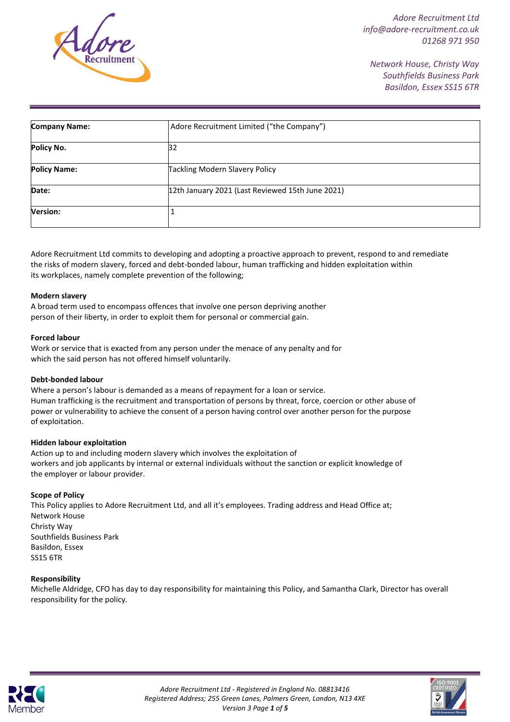

*Network House, Christy Way Southfields Business Park Basildon, Essex SS15 6TR*

| <b>Company Name:</b> | Adore Recruitment Limited ("the Company")        |  |
|----------------------|--------------------------------------------------|--|
| Policy No.           | 32                                               |  |
| <b>Policy Name:</b>  | <b>Tackling Modern Slavery Policy</b>            |  |
| Date:                | 12th January 2021 (Last Reviewed 15th June 2021) |  |
| <b>Version:</b>      |                                                  |  |

Adore Recruitment Ltd commits to developing and adopting a proactive approach to prevent, respond to and remediate the risks of modern slavery, forced and debt-bonded labour, human trafficking and hidden exploitation within its workplaces, namely complete prevention of the following;

### **Modern slavery**

A broad term used to encompass offences that involve one person depriving another person of their liberty, in order to exploit them for personal or commercial gain.

### **Forced labour**

Work or service that is exacted from any person under the menace of any penalty and for which the said person has not offered himself voluntarily.

## **Debt-bonded labour**

Where a person's labour is demanded as a means of repayment for a loan or service. Human trafficking is the recruitment and transportation of persons by threat, force, coercion or other abuse of power or vulnerability to achieve the consent of a person having control over another person for the purpose of exploitation.

#### **Hidden labour exploitation**

Action up to and including modern slavery which involves the exploitation of workers and job applicants by internal or external individuals without the sanction or explicit knowledge of the employer or labour provider.

## **Scope of Policy**

This Policy applies to Adore Recruitment Ltd, and all it's employees. Trading address and Head Office at; Network House Christy Way Southfields Business Park Basildon, Essex SS15 6TR

#### **Responsibility**

Michelle Aldridge, CFO has day to day responsibility for maintaining this Policy, and Samantha Clark, Director has overall responsibility for the policy.



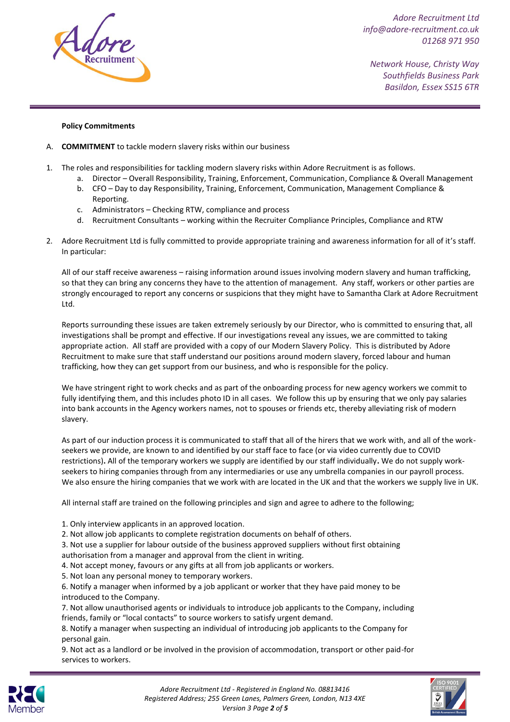

*Network House, Christy Way Southfields Business Park Basildon, Essex SS15 6TR*

# **Policy Commitments**

- A. **COMMITMENT** to tackle modern slavery risks within our business
- 1. The roles and responsibilities for tackling modern slavery risks within Adore Recruitment is as follows.
	- a. Director Overall Responsibility, Training, Enforcement, Communication, Compliance & Overall Management b. CFO – Day to day Responsibility, Training, Enforcement, Communication, Management Compliance &
	- Reporting. c. Administrators – Checking RTW, compliance and process
	- d. Recruitment Consultants working within the Recruiter Compliance Principles, Compliance and RTW
- 2. Adore Recruitment Ltd is fully committed to provide appropriate training and awareness information for all of it's staff. In particular:

All of our staff receive awareness – raising information around issues involving modern slavery and human trafficking, so that they can bring any concerns they have to the attention of management. Any staff, workers or other parties are strongly encouraged to report any concerns or suspicions that they might have to Samantha Clark at Adore Recruitment Ltd.

Reports surrounding these issues are taken extremely seriously by our Director, who is committed to ensuring that, all investigations shall be prompt and effective. If our investigations reveal any issues, we are committed to taking appropriate action. All staff are provided with a copy of our Modern Slavery Policy. This is distributed by Adore Recruitment to make sure that staff understand our positions around modern slavery, forced labour and human trafficking, how they can get support from our business, and who is responsible for the policy.

We have stringent right to work checks and as part of the onboarding process for new agency workers we commit to fully identifying them, and this includes photo ID in all cases. We follow this up by ensuring that we only pay salaries into bank accounts in the Agency workers names, not to spouses or friends etc, thereby alleviating risk of modern slavery.

As part of our induction process it is communicated to staff that all of the hirers that we work with, and all of the workseekers we provide, are known to and identified by our staff face to face (or via video currently due to COVID restrictions)**.** All of the temporary workers we supply are identified by our staff individually**.** We do not supply workseekers to hiring companies through from any intermediaries or use any umbrella companies in our payroll process. We also ensure the hiring companies that we work with are located in the UK and that the workers we supply live in UK.

All internal staff are trained on the following principles and sign and agree to adhere to the following;

- 1. Only interview applicants in an approved location.
- 2. Not allow job applicants to complete registration documents on behalf of others.

3. Not use a supplier for labour outside of the business approved suppliers without first obtaining

- authorisation from a manager and approval from the client in writing.
- 4. Not accept money, favours or any gifts at all from job applicants or workers.
- 5. Not loan any personal money to temporary workers.

6. Notify a manager when informed by a job applicant or worker that they have paid money to be introduced to the Company.

7. Not allow unauthorised agents or individuals to introduce job applicants to the Company, including friends, family or "local contacts" to source workers to satisfy urgent demand.

8. Notify a manager when suspecting an individual of introducing job applicants to the Company for personal gain.

9. Not act as a landlord or be involved in the provision of accommodation, transport or other paid-for services to workers.



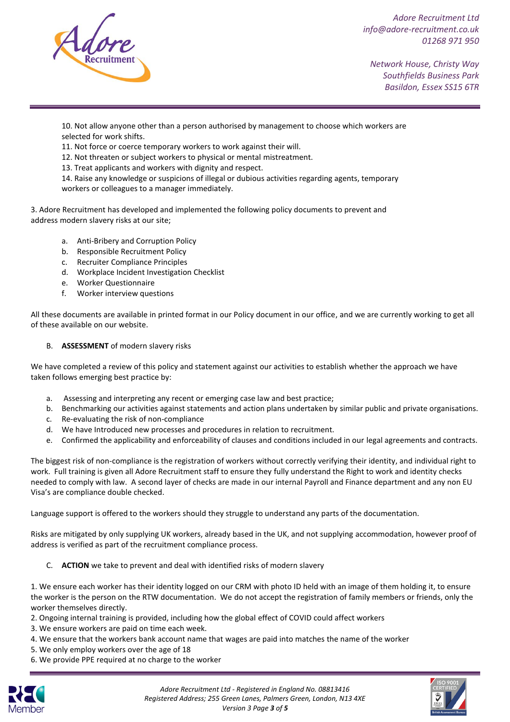

*Network House, Christy Way Southfields Business Park Basildon, Essex SS15 6TR*

10. Not allow anyone other than a person authorised by management to choose which workers are selected for work shifts.

11. Not force or coerce temporary workers to work against their will.

12. Not threaten or subject workers to physical or mental mistreatment.

13. Treat applicants and workers with dignity and respect.

14. Raise any knowledge or suspicions of illegal or dubious activities regarding agents, temporary workers or colleagues to a manager immediately.

3. Adore Recruitment has developed and implemented the following policy documents to prevent and address modern slavery risks at our site;

- a. Anti-Bribery and Corruption Policy
- b. Responsible Recruitment Policy
- c. Recruiter Compliance Principles
- d. Workplace Incident Investigation Checklist
- e. Worker Questionnaire
- f. Worker interview questions

All these documents are available in printed format in our Policy document in our office, and we are currently working to get all of these available on our website.

# B. **ASSESSMENT** of modern slavery risks

We have completed a review of this policy and statement against our activities to establish whether the approach we have taken follows emerging best practice by:

- a. Assessing and interpreting any recent or emerging case law and best practice;
- b. Benchmarking our activities against statements and action plans undertaken by similar public and private organisations.
- c. Re-evaluating the risk of non-compliance
- d. We have Introduced new processes and procedures in relation to recruitment.
- e. Confirmed the applicability and enforceability of clauses and conditions included in our legal agreements and contracts.

The biggest risk of non-compliance is the registration of workers without correctly verifying their identity, and individual right to work. Full training is given all Adore Recruitment staff to ensure they fully understand the Right to work and identity checks needed to comply with law. A second layer of checks are made in our internal Payroll and Finance department and any non EU Visa's are compliance double checked.

Language support is offered to the workers should they struggle to understand any parts of the documentation.

Risks are mitigated by only supplying UK workers, already based in the UK, and not supplying accommodation, however proof of address is verified as part of the recruitment compliance process.

C. **ACTION** we take to prevent and deal with identified risks of modern slavery

1. We ensure each worker has their identity logged on our CRM with photo ID held with an image of them holding it, to ensure the worker is the person on the RTW documentation. We do not accept the registration of family members or friends, only the worker themselves directly.

- 2. Ongoing internal training is provided, including how the global effect of COVID could affect workers
- 3. We ensure workers are paid on time each week.
- 4. We ensure that the workers bank account name that wages are paid into matches the name of the worker
- 5. We only employ workers over the age of 18
- 6. We provide PPE required at no charge to the worker



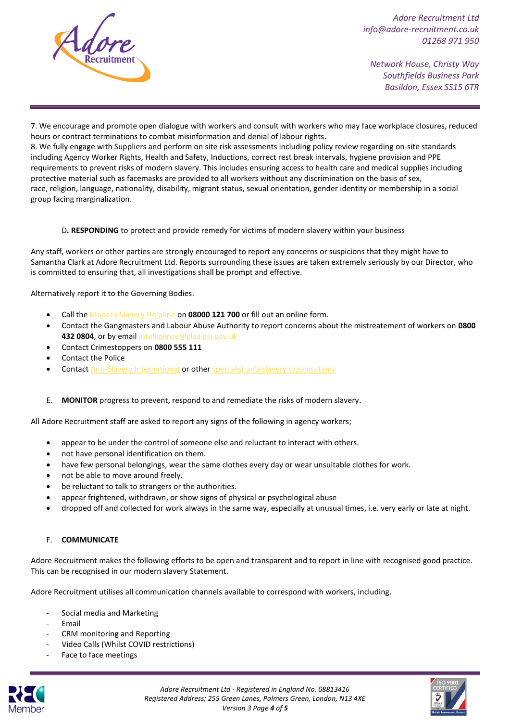

*Network House, Christy Way Southfields Business Park Basildon, Essex SS15 6TR*

7. We encourage and promote open dialogue with workers and consult with workers who may face workplace closures, reduced hours or contract terminations to combat misinformation and denial of labour rights.

8. We fully engage with Suppliers and perform on site risk assessments including policy review regarding on-site standards including Agency Worker Rights, Health and Safety, Inductions, correct rest break intervals, hygiene provision and PPE requirements to prevent risks of modern slavery. This includes ensuring access to health care and medical supplies including protective material such as facemasks are provided to all workers without any discrimination on the basis of sex, race, religion, language, nationality, disability, migrant status, sexual orientation, gender identity or membership in a social group facing marginalization.

D**. RESPONDING** to protect and provide remedy for victims of modern slavery within your business

Any staff, workers or other parties are strongly encouraged to report any concerns or suspicions that they might have to Samantha Clark at Adore Recruitment Ltd. Reports surrounding these issues are taken extremely seriously by our Director, who is committed to ensuring that, all investigations shall be prompt and effective.

Alternatively report it to the Governing Bodies.

- Call the [Modern Slavery Helpline](https://www.modernslaveryhelpline.org/) on **08000 121 700** or fill out an online form.
- Contact the Gangmasters and Labour Abuse Authority to report concerns about the mistreatement of workers on **0800 432 0804**, or by email [intelligence@glaa.gsi.gov.uk](mailto:intelligence@glaa.gsi.gov.uk)
- Contact Crimestoppers on **0800 555 111**
- Contact the Police
- Contact [Anti-Slavery International](https://www.antislavery.org/contact-us/) or other [specialist anti-slavery organisations](https://www.app.college.police.uk/app-content/major-investigation-and-public-protection/modern-slavery/list-of-anti-slavery-charities-and-non-governmental-organisations/)
- E. **MONITOR** progress to prevent, respond to and remediate the risks of modern slavery.

All Adore Recruitment staff are asked to report any signs of the following in agency workers;

- appear to be under the control of someone else and reluctant to interact with others.
- not have personal identification on them.
- have few personal belongings, wear the same clothes every day or wear unsuitable clothes for work.
- not be able to move around freely.
- be reluctant to talk to strangers or the authorities.
- appear frightened, withdrawn, or show signs of physical or psychological abuse
- dropped off and collected for work always in the same way, especially at unusual times, i.e. very early or late at night.

## F. **COMMUNICATE**

Adore Recruitment makes the following efforts to be open and transparent and to report in line with recognised good practice. This can be recognised in our modern slavery Statement.

Adore Recruitment utilises all communication channels available to correspond with workers, including.

- Social media and Marketing
- **Fmail**
- CRM monitoring and Reporting
- Video Calls (Whilst COVID restrictions)
- Face to face meetings